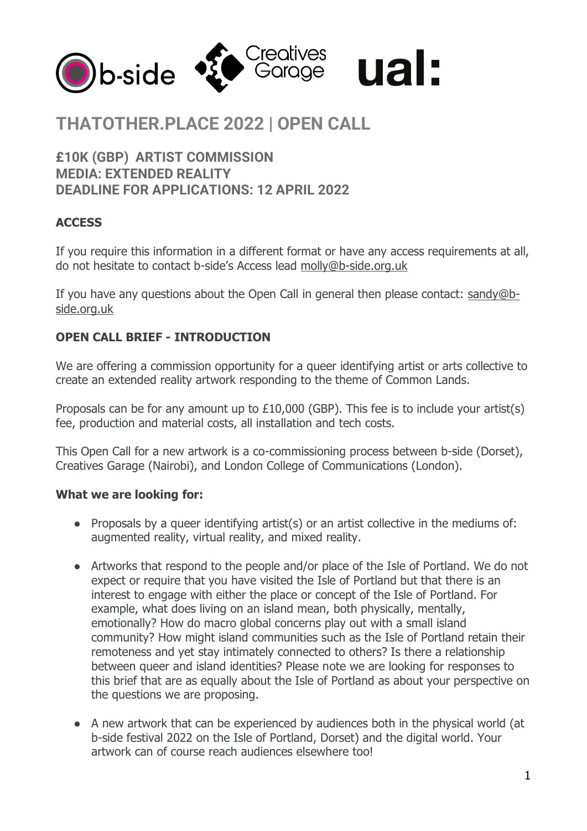

# **THATOTHER.PLACE 2022 | OPEN CALL**

**£10K (GBP) ARTIST COMMISSION MEDIA: EXTENDED REALITY DEADLINE FOR APPLICATIONS: 12 APRIL 2022**

# **ACCESS**

If you require this information in a different format or have any access requirements at all, do not hesitate to contact b-side's Access lead [molly@b-side.org.uk](mailto:molly@b-side.org.uk)

If you have any questions about the Open Call in general then please contact: [sandy@b](mailto:sandy@b-side.org.uk)[side.org.uk](mailto:sandy@b-side.org.uk)

### **OPEN CALL BRIEF - INTRODUCTION**

We are offering a commission opportunity for a queer identifying artist or arts collective to create an extended reality artwork responding to the theme of Common Lands.

Proposals can be for any amount up to £10,000 (GBP). This fee is to include your artist(s) fee, production and material costs, all installation and tech costs.

This Open Call for a new artwork is a co-commissioning process between b-side (Dorset), Creatives Garage (Nairobi), and London College of Communications (London).

### **What we are looking for:**

- $\bullet$  Proposals by a queer identifying artist(s) or an artist collective in the mediums of: augmented reality, virtual reality, and mixed reality.
- Artworks that respond to the people and/or place of the Isle of Portland. We do not expect or require that you have visited the Isle of Portland but that there is an interest to engage with either the place or concept of the Isle of Portland. For example, what does living on an island mean, both physically, mentally, emotionally? How do macro global concerns play out with a small island community? How might island communities such as the Isle of Portland retain their remoteness and yet stay intimately connected to others? Is there a relationship between queer and island identities? Please note we are looking for responses to this brief that are as equally about the Isle of Portland as about your perspective on the questions we are proposing.
- A new artwork that can be experienced by audiences both in the physical world (at b-side festival 2022 on the Isle of Portland, Dorset) and the digital world. Your artwork can of course reach audiences elsewhere too!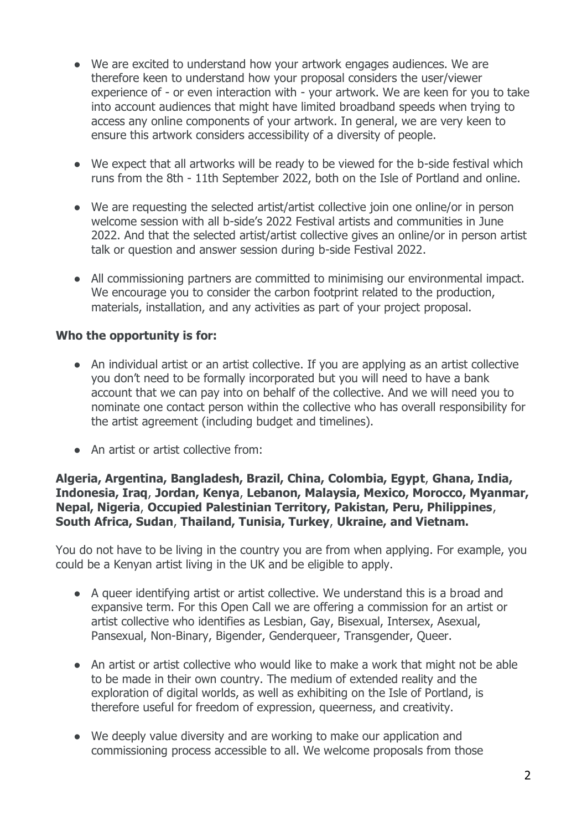- We are excited to understand how your artwork engages audiences. We are therefore keen to understand how your proposal considers the user/viewer experience of - or even interaction with - your artwork. We are keen for you to take into account audiences that might have limited broadband speeds when trying to access any online components of your artwork. In general, we are very keen to ensure this artwork considers accessibility of a diversity of people.
- We expect that all artworks will be ready to be viewed for the b-side festival which runs from the 8th - 11th September 2022, both on the Isle of Portland and online.
- We are requesting the selected artist/artist collective join one online/or in person welcome session with all b-side's 2022 Festival artists and communities in June 2022. And that the selected artist/artist collective gives an online/or in person artist talk or question and answer session during b-side Festival 2022.
- All commissioning partners are committed to minimising our environmental impact. We encourage you to consider the carbon footprint related to the production, materials, installation, and any activities as part of your project proposal.

# **Who the opportunity is for:**

- An individual artist or an artist collective. If you are applying as an artist collective you don't need to be formally incorporated but you will need to have a bank account that we can pay into on behalf of the collective. And we will need you to nominate one contact person within the collective who has overall responsibility for the artist agreement (including budget and timelines).
- An artist or artist collective from:

#### **Algeria, Argentina, Bangladesh, Brazil, China, Colombia, Egypt**, **Ghana, India, Indonesia, Iraq**, **Jordan, Kenya**, **Lebanon, Malaysia, Mexico, Morocco, Myanmar, Nepal, Nigeria**, **Occupied Palestinian Territory, Pakistan, Peru, Philippines**, **South Africa, Sudan**, **Thailand, Tunisia, Turkey**, **Ukraine, and Vietnam.**

You do not have to be living in the country you are from when applying. For example, you could be a Kenyan artist living in the UK and be eligible to apply.

- A queer identifying artist or artist collective. We understand this is a broad and expansive term. For this Open Call we are offering a commission for an artist or artist collective who identifies as Lesbian, Gay, Bisexual, Intersex, Asexual, Pansexual, Non-Binary, Bigender, Genderqueer, Transgender, Queer.
- An artist or artist collective who would like to make a work that might not be able to be made in their own country. The medium of extended reality and the exploration of digital worlds, as well as exhibiting on the Isle of Portland, is therefore useful for freedom of expression, queerness, and creativity.
- We deeply value diversity and are working to make our application and commissioning process accessible to all. We welcome proposals from those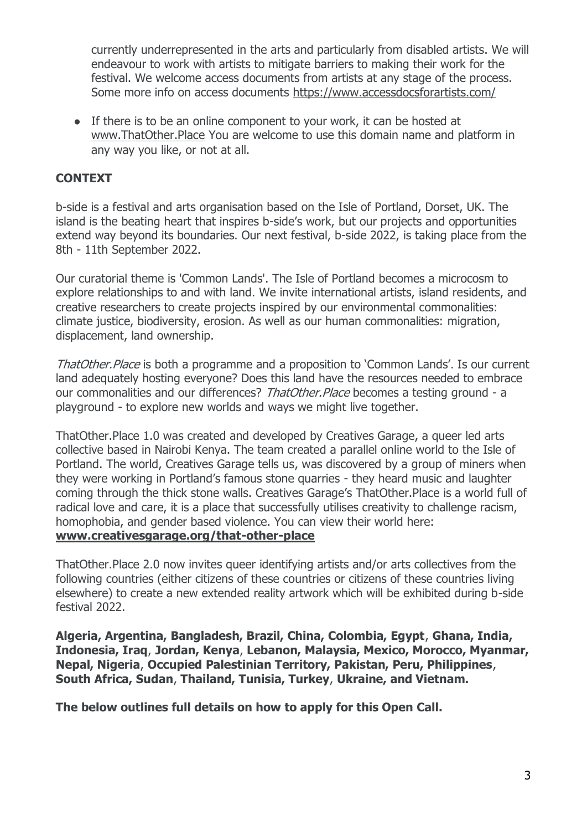currently underrepresented in the arts and particularly from disabled artists. We will endeavour to work with artists to mitigate barriers to making their work for the festival. We welcome access documents from artists at any stage of the process. Some more info on access documents<https://www.accessdocsforartists.com/>

• If there is to be an online component to your work, it can be hosted at [www.ThatOther.Place](http://www.thatother.place/) You are welcome to use this domain name and platform in any way you like, or not at all.

### **CONTEXT**

b-side is a festival and arts organisation based on the Isle of Portland, Dorset, UK. The island is the beating heart that inspires b-side's work, but our projects and opportunities extend way beyond its boundaries. Our next festival, b-side 2022, is taking place from the 8th - 11th September 2022.

Our curatorial theme is 'Common Lands'. The Isle of Portland becomes a microcosm to explore relationships to and with land. We invite international artists, island residents, and creative researchers to create projects inspired by our environmental commonalities: climate justice, biodiversity, erosion. As well as our human commonalities: migration, displacement, land ownership.

ThatOther. Place is both a programme and a proposition to 'Common Lands'. Is our current land adequately hosting everyone? Does this land have the resources needed to embrace our commonalities and our differences? ThatOther. Place becomes a testing ground - a playground - to explore new worlds and ways we might live together.

ThatOther.Place 1.0 was created and developed by Creatives Garage, a queer led arts collective based in Nairobi Kenya. The team created a parallel online world to the Isle of Portland. The world, Creatives Garage tells us, was discovered by a group of miners when they were working in Portland's famous stone quarries - they heard music and laughter coming through the thick stone walls. Creatives Garage's ThatOther.Place is a world full of radical love and care, it is a place that successfully utilises creativity to challenge racism, homophobia, and gender based violence. You can view their world here: **[www.creativesgarage.org/that-other-place](https://www.creativesgarage.org/that-other-place)**

ThatOther.Place 2.0 now invites queer identifying artists and/or arts collectives from the following countries (either citizens of these countries or citizens of these countries living elsewhere) to create a new extended reality artwork which will be exhibited during b-side festival 2022.

**Algeria, Argentina, Bangladesh, Brazil, China, Colombia, Egypt**, **Ghana, India, Indonesia, Iraq**, **Jordan, Kenya**, **Lebanon, Malaysia, Mexico, Morocco, Myanmar, Nepal, Nigeria**, **Occupied Palestinian Territory, Pakistan, Peru, Philippines**, **South Africa, Sudan**, **Thailand, Tunisia, Turkey**, **Ukraine, and Vietnam.**

**The below outlines full details on how to apply for this Open Call.**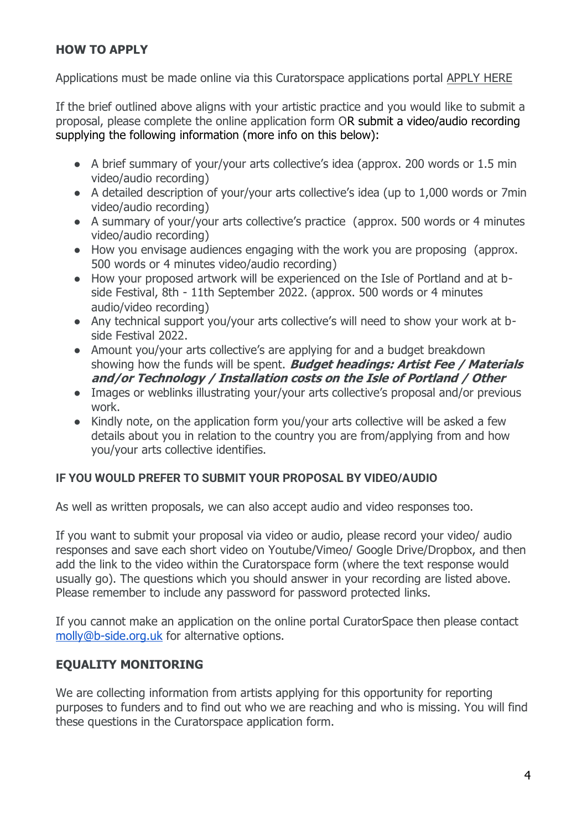# **HOW TO APPLY**

Applications must be made online via this Curatorspace applications portal [APPLY HERE](https://www.curatorspace.com/opportunities/detail/that-other-place--digital-open-call/6177)

If the brief outlined above aligns with your artistic practice and you would like to submit a proposal, please complete the online application form OR submit a video/audio recording supplying the following information (more info on this below):

- A brief summary of your/your arts collective's idea (approx. 200 words or 1.5 min video/audio recording)
- A detailed description of your/your arts collective's idea (up to 1,000 words or 7min video/audio recording)
- A summary of your/your arts collective's practice (approx. 500 words or 4 minutes video/audio recording)
- How you envisage audiences engaging with the work you are proposing (approx. 500 words or 4 minutes video/audio recording)
- How your proposed artwork will be experienced on the Isle of Portland and at bside Festival, 8th - 11th September 2022. (approx. 500 words or 4 minutes audio/video recording)
- Any technical support you/your arts collective's will need to show your work at bside Festival 2022.
- Amount you/your arts collective's are applying for and a budget breakdown showing how the funds will be spent. **Budget headings: Artist Fee / Materials and/or Technology / Installation costs on the Isle of Portland / Other**
- Images or weblinks illustrating your/your arts collective's proposal and/or previous work.
- Kindly note, on the application form you/your arts collective will be asked a few details about you in relation to the country you are from/applying from and how you/your arts collective identifies.

# **IF YOU WOULD PREFER TO SUBMIT YOUR PROPOSAL BY VIDEO/AUDIO**

As well as written proposals, we can also accept audio and video responses too.

If you want to submit your proposal via video or audio, please record your video/ audio responses and save each short video on Youtube/Vimeo/ Google Drive/Dropbox, and then add the link to the video within the Curatorspace form (where the text response would usually go). The questions which you should answer in your recording are listed above. Please remember to include any password for password protected links.

If you cannot make an application on the online portal CuratorSpace then please contact [molly@b-side.org.uk](mailto:molly@b-side.org.uk) for alternative options.

# **EQUALITY MONITORING**

We are collecting information from artists applying for this opportunity for reporting purposes to funders and to find out who we are reaching and who is missing. You will find these questions in the Curatorspace application form.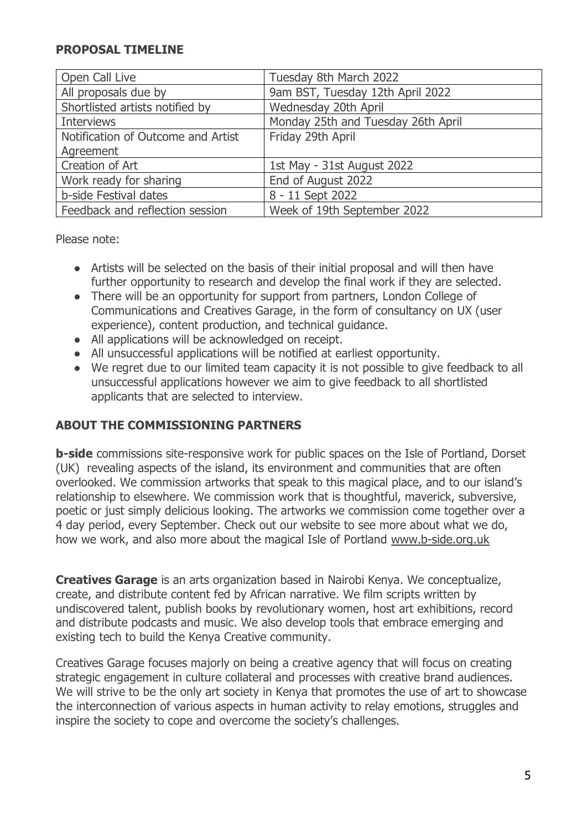### **PROPOSAL TIMELINE**

| Open Call Live                     | Tuesday 8th March 2022             |
|------------------------------------|------------------------------------|
| All proposals due by               | 9am BST, Tuesday 12th April 2022   |
| Shortlisted artists notified by    | Wednesday 20th April               |
| <b>Interviews</b>                  | Monday 25th and Tuesday 26th April |
| Notification of Outcome and Artist | Friday 29th April                  |
| Agreement                          |                                    |
| Creation of Art                    | 1st May - 31st August 2022         |
| Work ready for sharing             | End of August 2022                 |
| b-side Festival dates              | 8 - 11 Sept 2022                   |
| Feedback and reflection session    | Week of 19th September 2022        |

Please note:

- Artists will be selected on the basis of their initial proposal and will then have further opportunity to research and develop the final work if they are selected.
- There will be an opportunity for support from partners, London College of Communications and Creatives Garage, in the form of consultancy on UX (user experience), content production, and technical guidance.
- All applications will be acknowledged on receipt.
- All unsuccessful applications will be notified at earliest opportunity.
- We regret due to our limited team capacity it is not possible to give feedback to all unsuccessful applications however we aim to give feedback to all shortlisted applicants that are selected to interview.

# **ABOUT THE COMMISSIONING PARTNERS**

**b-side** commissions site-responsive work for public spaces on the Isle of Portland, Dorset (UK) revealing aspects of the island, its environment and communities that are often overlooked. We commission artworks that speak to this magical place, and to our island's relationship to elsewhere. We commission work that is thoughtful, maverick, subversive, poetic or just simply delicious looking. The artworks we commission come together over a 4 day period, every September. Check out our website to see more about what we do, how we work, and also more about the magical Isle of Portland [www.b-side.org.uk](http://www.b-side.org.uk/)

**Creatives Garage** is an arts organization based in Nairobi Kenya. We conceptualize, create, and distribute content fed by African narrative. We film scripts written by undiscovered talent, publish books by revolutionary women, host art exhibitions, record and distribute podcasts and music. We also develop tools that embrace emerging and existing tech to build the Kenya Creative community.

Creatives Garage focuses majorly on being a creative agency that will focus on creating strategic engagement in culture collateral and processes with creative brand audiences. We will strive to be the only art society in Kenya that promotes the use of art to showcase the interconnection of various aspects in human activity to relay emotions, struggles and inspire the society to cope and overcome the society's challenges.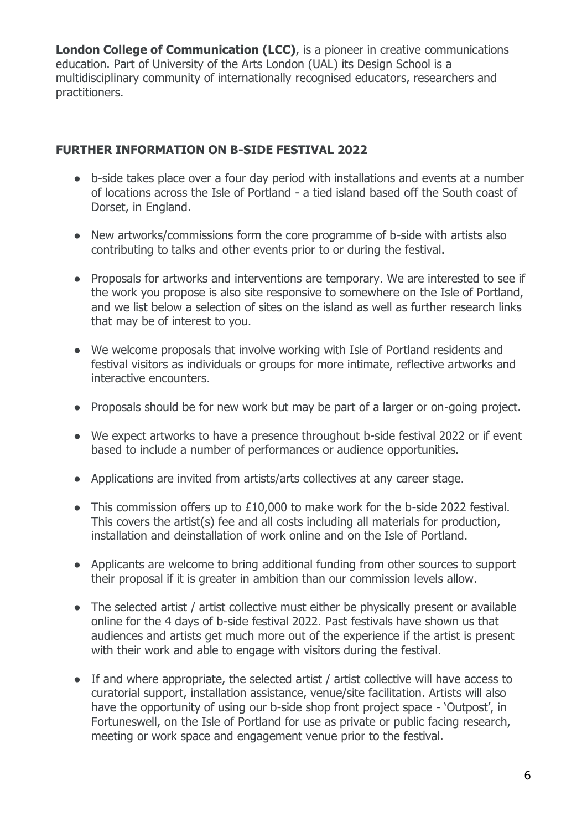**London College of Communication (LCC)**, is a pioneer in creative communications education. Part of University of the Arts London (UAL) its Design School is a multidisciplinary community of internationally recognised educators, researchers and practitioners.

# **FURTHER INFORMATION ON B-SIDE FESTIVAL 2022**

- b-side takes place over a four day period with installations and events at a number of locations across the Isle of Portland - a tied island based off the South coast of Dorset, in England.
- New artworks/commissions form the core programme of b-side with artists also contributing to talks and other events prior to or during the festival.
- Proposals for artworks and interventions are temporary. We are interested to see if the work you propose is also site responsive to somewhere on the Isle of Portland, and we list below a selection of sites on the island as well as further research links that may be of interest to you.
- We welcome proposals that involve working with Isle of Portland residents and festival visitors as individuals or groups for more intimate, reflective artworks and interactive encounters.
- Proposals should be for new work but may be part of a larger or on-going project.
- We expect artworks to have a presence throughout b-side festival 2022 or if event based to include a number of performances or audience opportunities.
- Applications are invited from artists/arts collectives at any career stage.
- This commission offers up to £10,000 to make work for the b-side 2022 festival. This covers the artist(s) fee and all costs including all materials for production, installation and deinstallation of work online and on the Isle of Portland.
- Applicants are welcome to bring additional funding from other sources to support their proposal if it is greater in ambition than our commission levels allow.
- The selected artist / artist collective must either be physically present or available online for the 4 days of b-side festival 2022. Past festivals have shown us that audiences and artists get much more out of the experience if the artist is present with their work and able to engage with visitors during the festival.
- If and where appropriate, the selected artist / artist collective will have access to curatorial support, installation assistance, venue/site facilitation. Artists will also have the opportunity of using our b-side shop front project space - 'Outpost', in Fortuneswell, on the Isle of Portland for use as private or public facing research, meeting or work space and engagement venue prior to the festival.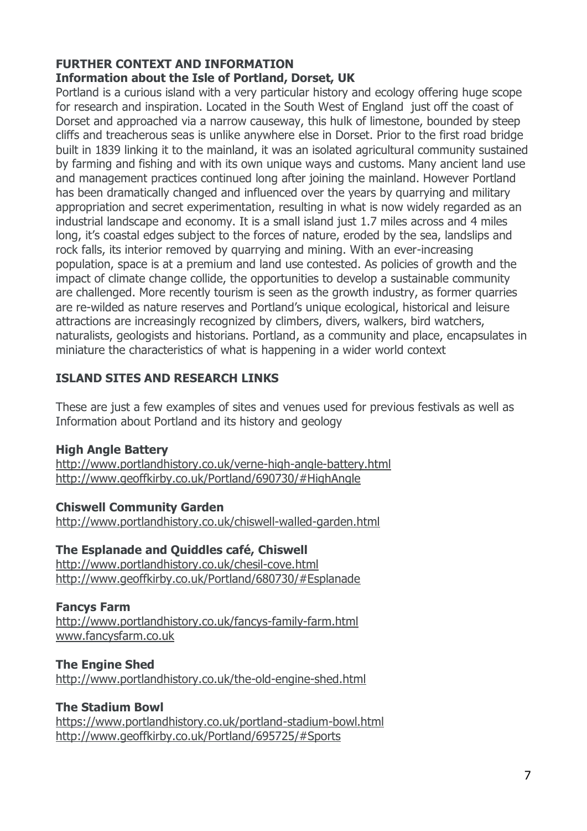### **FURTHER CONTEXT AND INFORMATION Information about the Isle of Portland, Dorset, UK**

Portland is a curious island with a very particular history and ecology offering huge scope for research and inspiration. Located in the South West of England just off the coast of Dorset and approached via a narrow causeway, this hulk of limestone, bounded by steep cliffs and treacherous seas is unlike anywhere else in Dorset. Prior to the first road bridge built in 1839 linking it to the mainland, it was an isolated agricultural community sustained by farming and fishing and with its own unique ways and customs. Many ancient land use and management practices continued long after joining the mainland. However Portland has been dramatically changed and influenced over the years by quarrying and military appropriation and secret experimentation, resulting in what is now widely regarded as an industrial landscape and economy. It is a small island just 1.7 miles across and 4 miles long, it's coastal edges subject to the forces of nature, eroded by the sea, landslips and rock falls, its interior removed by quarrying and mining. With an ever-increasing population, space is at a premium and land use contested. As policies of growth and the impact of climate change collide, the opportunities to develop a sustainable community are challenged. More recently tourism is seen as the growth industry, as former quarries are re-wilded as nature reserves and Portland's unique ecological, historical and leisure attractions are increasingly recognized by climbers, divers, walkers, bird watchers, naturalists, geologists and historians. Portland, as a community and place, encapsulates in miniature the characteristics of what is happening in a wider world context

# **ISLAND SITES AND RESEARCH LINKS**

These are just a few examples of sites and venues used for previous festivals as well as Information about Portland and its history and geology

# **High Angle Battery**

<http://www.portlandhistory.co.uk/verne-high-angle-battery.html> <http://www.geoffkirby.co.uk/Portland/690730/#HighAngle>

# **Chiswell Community Garden**

<http://www.portlandhistory.co.uk/chiswell-walled-garden.html>

### **The Esplanade and Quiddles café, Chiswell**

<http://www.portlandhistory.co.uk/chesil-cove.html> <http://www.geoffkirby.co.uk/Portland/680730/#Esplanade>

### **Fancys Farm**

<http://www.portlandhistory.co.uk/fancys-family-farm.html> [www.fancysfarm.co.uk](http://www.fancysfarm.co.uk/)

# **The Engine Shed**

<http://www.portlandhistory.co.uk/the-old-engine-shed.html>

# **The Stadium Bowl**

<https://www.portlandhistory.co.uk/portland-stadium-bowl.html> <http://www.geoffkirby.co.uk/Portland/695725/#Sports>